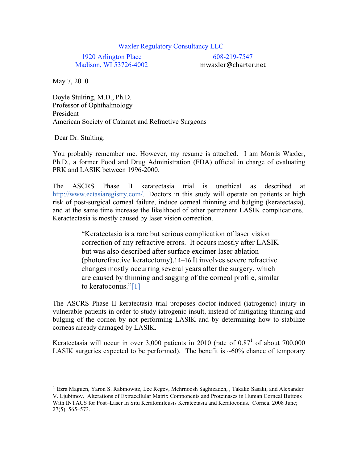## Waxler Regulatory Consultancy LLC

1920 Arlington Place Madison, WI 53726-4002

608-219-7547 mwaxler@charter.net

May 7, 2010

Doyle Stulting, M.D., Ph.D. Professor of Ophthalmology President American Society of Cataract and Refractive Surgeons

Dear Dr. Stulting:

You probably remember me. However, my resume is attached. I am Morris Waxler, Ph.D., a former Food and Drug Administration (FDA) official in charge of evaluating PRK and LASIK between 1996-2000.

The ASCRS Phase II keratectasia trial is unethical as described at http://www.ectasiaregistry.com/. Doctors in this study will operate on patients at high risk of post-surgical corneal failure, induce corneal thinning and bulging (keratectasia), and at the same time increase the likelihood of other permanent LASIK complications. Keractectasia is mostly caused by laser vision correction.

> "Keratectasia is a rare but serious complication of laser vision correction of any refractive errors. It occurs mostly after LASIK but was also described after surface excimer laser ablation (photorefractive keratectomy).14–16 It involves severe refractive changes mostly occurring several years after the surgery, which are caused by thinning and sagging of the corneal profile, similar to keratoconus."[1]

The ASCRS Phase II keratectasia trial proposes doctor-induced (iatrogenic) injury in vulnerable patients in order to study iatrogenic insult, instead of mitigating thinning and bulging of the cornea by not performing LASIK and by determining how to stabilize corneas already damaged by LASIK.

Keratectasia will occur in over 3,000 patients in 2010 (rate of  $0.87<sup>1</sup>$  of about 700,000 LASIK surgeries expected to be performed). The benefit is  $~60\%$  chance of temporary

<sup>1</sup> Ezra Maguen, Yaron S. Rabinowitz, Lee Regev, Mehrnoosh Saghizadeh, , Takako Sasaki, and Alexander V. Ljubimov. Alterations of Extracellular Matrix Components and Proteinases in Human Corneal Buttons With INTACS for Post–Laser In Situ Keratomileusis Keratectasia and Keratoconus. Cornea. 2008 June; 27(5): 565–573.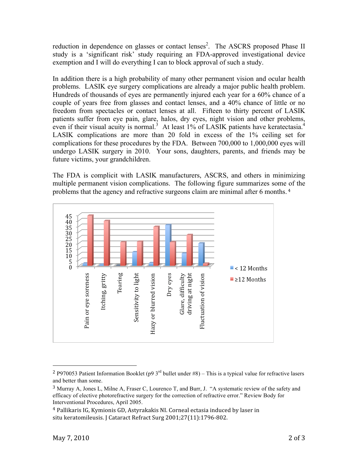reduction in dependence on glasses or contact lenses<sup>2</sup>. The ASCRS proposed Phase II study is a 'significant risk' study requiring an FDA-approved investigational device exemption and I will do everything I can to block approval of such a study.

In addition there is a high probability of many other permanent vision and ocular health problems. LASIK eye surgery complications are already a major public health problem. Hundreds of thousands of eyes are permanently injured each year for a 60% chance of a couple of years free from glasses and contact lenses, and a 40% chance of little or no freedom from spectacles or contact lenses at all. Fifteen to thirty percent of LASIK patients suffer from eye pain, glare, halos, dry eyes, night vision and other problems, even if their visual acuity is normal.<sup>3</sup> At least 1% of LASIK patients have keratectasia.<sup>4</sup> LASIK complications are more than 20 fold in excess of the 1% ceiling set for complications for these procedures by the FDA. Between 700,000 to 1,000,000 eyes will undergo LASIK surgery in 2010. Your sons, daughters, parents, and friends may be future victims, your grandchildren.

The FDA is complicit with LASIK manufacturers, ASCRS, and others in minimizing multiple permanent vision complications. The following figure summarizes some of the problems that the agency and refractive surgeons claim are minimal after 6 months. <sup>4</sup>



<sup>&</sup>lt;sup>2</sup> P970053 Patient Information Booklet (p9  $3^{rd}$  bullet under #8) – This is a typical value for refractive lasers and better than some.

<sup>3</sup> Murray A, Jones L, Milne A, Fraser C, Lourenco T, and Burr, J. "A systematic review of the safety and efficacy of elective photorefractive surgery for the correction of refractive error." Review Body for Interventional Procedures, April 2005.

<sup>4</sup> Pallikaris
IG,
Kymionis
GD,
Astyrakakis
NI.
Corneal
ectasia
induced
by
laser
in situ
keratomileusis.
J
Cataract
Refract
Surg
2001;27(11):1796‐802.